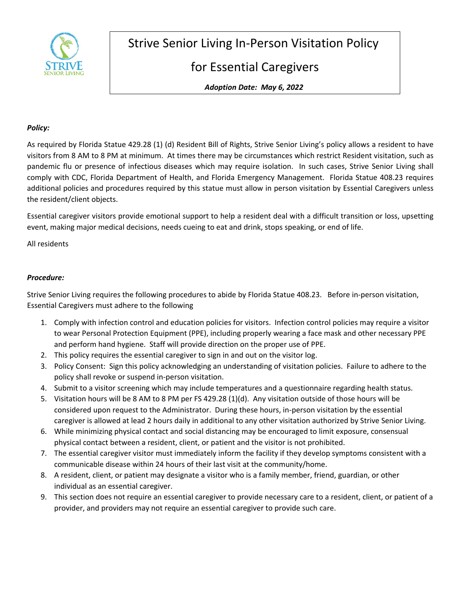

Strive Senior Living In-Person Visitation Policy

## for Essential Caregivers

*Adoption Date: May 6, 2022* 

## *Policy:*

As required by Florida Statue 429.28 (1) (d) Resident Bill of Rights, Strive Senior Living's policy allows a resident to have visitors from 8 AM to 8 PM at minimum. At times there may be circumstances which restrict Resident visitation, such as pandemic flu or presence of infectious diseases which may require isolation. In such cases, Strive Senior Living shall comply with CDC, Florida Department of Health, and Florida Emergency Management. Florida Statue 408.23 requires additional policies and procedures required by this statue must allow in person visitation by Essential Caregivers unless the resident/client objects.

Essential caregiver visitors provide emotional support to help a resident deal with a difficult transition or loss, upsetting event, making major medical decisions, needs cueing to eat and drink, stops speaking, or end of life.

All residents

## *Procedure:*

Strive Senior Living requires the following procedures to abide by Florida Statue 408.23. Before in-person visitation, Essential Caregivers must adhere to the following

- 1. Comply with infection control and education policies for visitors. Infection control policies may require a visitor to wear Personal Protection Equipment (PPE), including properly wearing a face mask and other necessary PPE and perform hand hygiene. Staff will provide direction on the proper use of PPE.
- 2. This policy requires the essential caregiver to sign in and out on the visitor log.
- 3. Policy Consent: Sign this policy acknowledging an understanding of visitation policies. Failure to adhere to the policy shall revoke or suspend in-person visitation.
- 4. Submit to a visitor screening which may include temperatures and a questionnaire regarding health status.
- 5. Visitation hours will be 8 AM to 8 PM per FS 429.28 (1)(d). Any visitation outside of those hours will be considered upon request to the Administrator. During these hours, in-person visitation by the essential caregiver is allowed at lead 2 hours daily in additional to any other visitation authorized by Strive Senior Living.
- 6. While minimizing physical contact and social distancing may be encouraged to limit exposure, consensual physical contact between a resident, client, or patient and the visitor is not prohibited.
- 7. The essential caregiver visitor must immediately inform the facility if they develop symptoms consistent with a communicable disease within 24 hours of their last visit at the community/home.
- 8. A resident, client, or patient may designate a visitor who is a family member, friend, guardian, or other individual as an essential caregiver.
- 9. This section does not require an essential caregiver to provide necessary care to a resident, client, or patient of a provider, and providers may not require an essential caregiver to provide such care.